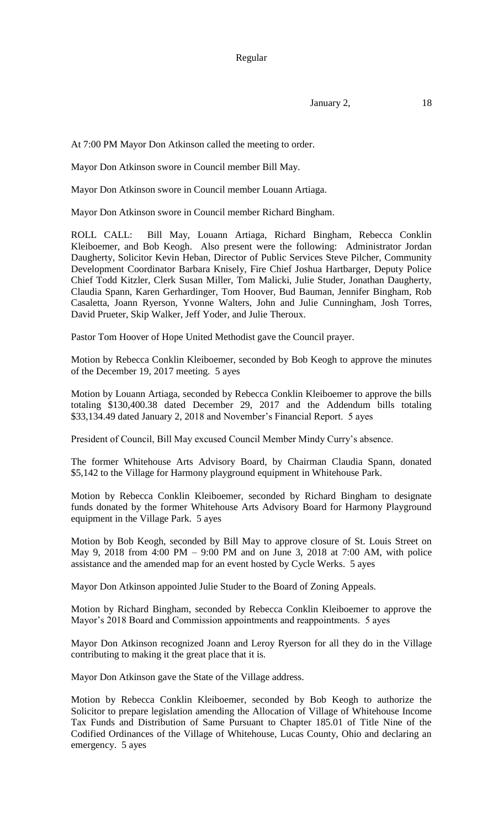January 2, 18

At 7:00 PM Mayor Don Atkinson called the meeting to order.

Mayor Don Atkinson swore in Council member Bill May.

Mayor Don Atkinson swore in Council member Louann Artiaga.

Mayor Don Atkinson swore in Council member Richard Bingham.

ROLL CALL: Bill May, Louann Artiaga, Richard Bingham, Rebecca Conklin Kleiboemer, and Bob Keogh. Also present were the following: Administrator Jordan Daugherty, Solicitor Kevin Heban, Director of Public Services Steve Pilcher, Community Development Coordinator Barbara Knisely, Fire Chief Joshua Hartbarger, Deputy Police Chief Todd Kitzler, Clerk Susan Miller, Tom Malicki, Julie Studer, Jonathan Daugherty, Claudia Spann, Karen Gerhardinger, Tom Hoover, Bud Bauman, Jennifer Bingham, Rob Casaletta, Joann Ryerson, Yvonne Walters, John and Julie Cunningham, Josh Torres, David Prueter, Skip Walker, Jeff Yoder, and Julie Theroux.

Pastor Tom Hoover of Hope United Methodist gave the Council prayer.

Motion by Rebecca Conklin Kleiboemer, seconded by Bob Keogh to approve the minutes of the December 19, 2017 meeting. 5 ayes

Motion by Louann Artiaga, seconded by Rebecca Conklin Kleiboemer to approve the bills totaling \$130,400.38 dated December 29, 2017 and the Addendum bills totaling \$33,134.49 dated January 2, 2018 and November's Financial Report. 5 ayes

President of Council, Bill May excused Council Member Mindy Curry's absence.

The former Whitehouse Arts Advisory Board, by Chairman Claudia Spann, donated \$5,142 to the Village for Harmony playground equipment in Whitehouse Park.

Motion by Rebecca Conklin Kleiboemer, seconded by Richard Bingham to designate funds donated by the former Whitehouse Arts Advisory Board for Harmony Playground equipment in the Village Park. 5 ayes

Motion by Bob Keogh, seconded by Bill May to approve closure of St. Louis Street on May 9, 2018 from 4:00 PM – 9:00 PM and on June 3, 2018 at 7:00 AM, with police assistance and the amended map for an event hosted by Cycle Werks. 5 ayes

Mayor Don Atkinson appointed Julie Studer to the Board of Zoning Appeals.

Motion by Richard Bingham, seconded by Rebecca Conklin Kleiboemer to approve the Mayor's 2018 Board and Commission appointments and reappointments. 5 ayes

Mayor Don Atkinson recognized Joann and Leroy Ryerson for all they do in the Village contributing to making it the great place that it is.

Mayor Don Atkinson gave the State of the Village address.

Motion by Rebecca Conklin Kleiboemer, seconded by Bob Keogh to authorize the Solicitor to prepare legislation amending the Allocation of Village of Whitehouse Income Tax Funds and Distribution of Same Pursuant to Chapter 185.01 of Title Nine of the Codified Ordinances of the Village of Whitehouse, Lucas County, Ohio and declaring an emergency. 5 ayes